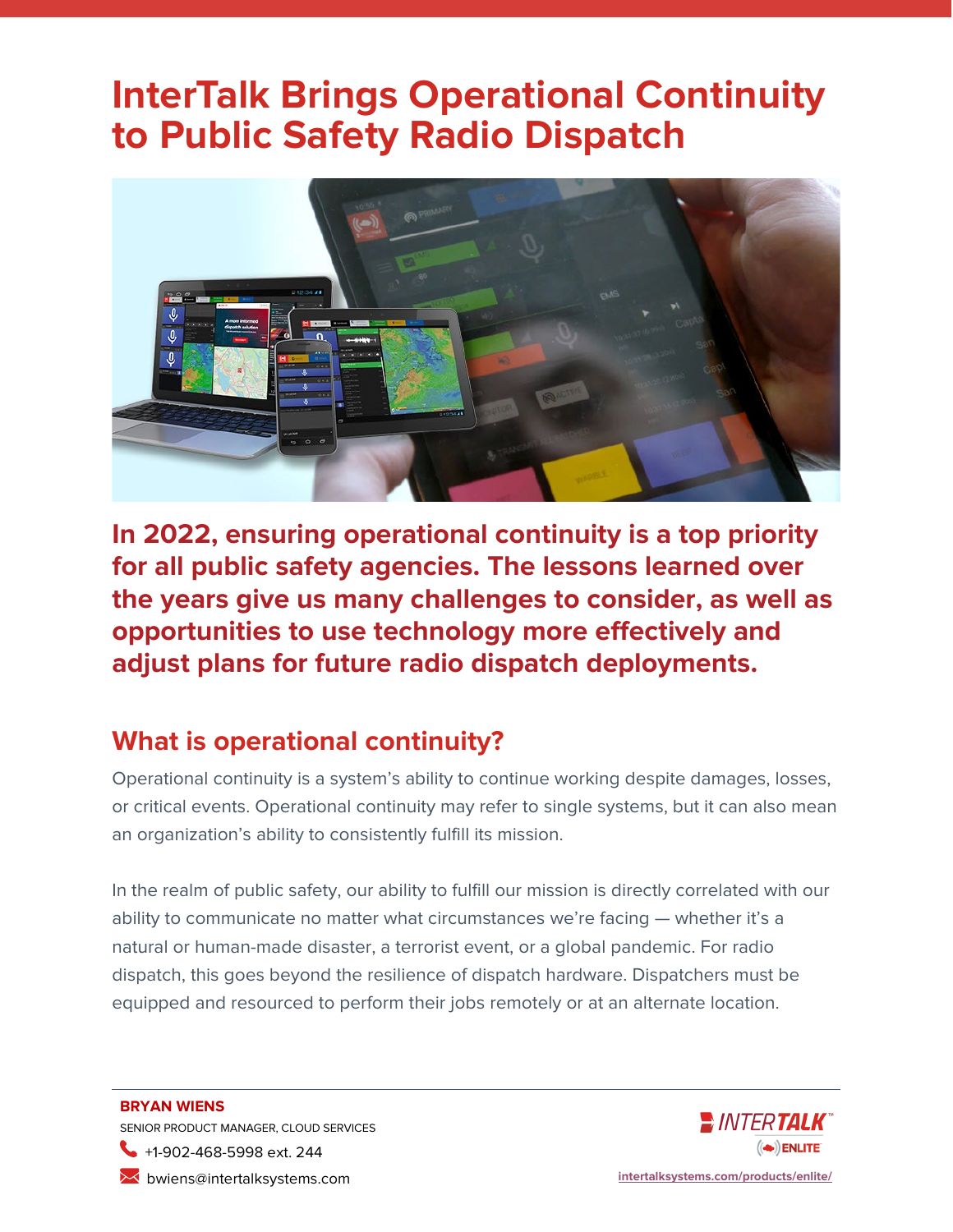# **InterTalk Brings Operational Continuity to Public Safety Radio Dispatch**



**In 2022, ensuring operational continuity is a top priority for all public safety agencies. The lessons learned over the years give us many challenges to consider, as well as opportunities to use technology more effectively and adjust plans for future radio dispatch deployments.**

### **What is operational continuity?**

Operational continuity is a system's ability to continue working despite damages, losses, or critical events. Operational continuity may refer to single systems, but it can also mean an organization's ability to consistently fulfill its mission.

In the realm of public safety, our ability to fulfill our mission is directly correlated with our ability to communicate no matter what circumstances we're facing — whether it's a natural or human-made disaster, a terrorist event, or a global pandemic. For radio dispatch, this goes beyond the resilience of dispatch hardware. Dispatchers must be equipped and resourced to perform their jobs remotely or at an alternate location.

**BRYAN WIENS** SENIOR PRODUCT MANAGER, CLOUD SERVICES +1-902-468-5998 ext. 244 bwiens@intertalksystems.com **[intertalksystems.com/products/enlite/](https://intertalksystems.com/products/enlite/)**

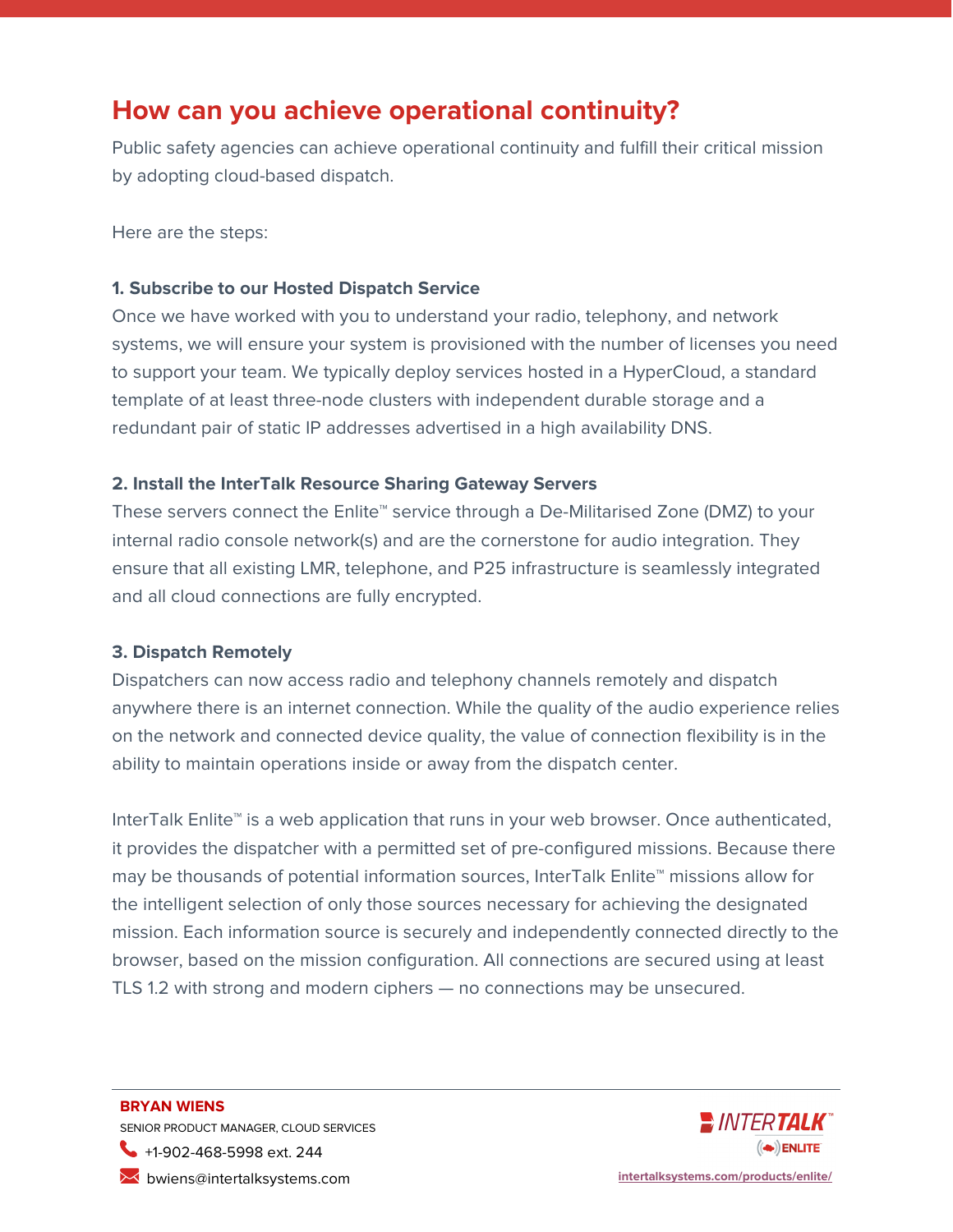### **How can you achieve operational continuity?**

Public safety agencies can achieve operational continuity and fulfill their critical mission by adopting cloud-based dispatch.

Here are the steps:

#### **1. Subscribe to our Hosted Dispatch Service**

Once we have worked with you to understand your radio, telephony, and network systems, we will ensure your system is provisioned with the number of licenses you need to support your team. We typically deploy services hosted in a HyperCloud, a standard template of at least three-node clusters with independent durable storage and a redundant pair of static IP addresses advertised in a high availability DNS.

#### **2. Install the InterTalk Resource Sharing Gateway Servers**

These servers connect the Enlite™ service through a De-Militarised Zone (DMZ) to your internal radio console network(s) and are the cornerstone for audio integration. They ensure that all existing LMR, telephone, and P25 infrastructure is seamlessly integrated and all cloud connections are fully encrypted.

#### **3. Dispatch Remotely**

Dispatchers can now access radio and telephony channels remotely and dispatch anywhere there is an internet connection. While the quality of the audio experience relies on the network and connected device quality, the value of connection flexibility is in the ability to maintain operations inside or away from the dispatch center.

InterTalk Enlite™ is a web application that runs in your web browser. Once authenticated, it provides the dispatcher with a permitted set of pre-configured missions. Because there may be thousands of potential information sources, InterTalk Enlite™ missions allow for the intelligent selection of only those sources necessary for achieving the designated mission. Each information source is securely and independently connected directly to the browser, based on the mission configuration. All connections are secured using at least TLS 1.2 with strong and modern ciphers — no connections may be unsecured.

### **BRYAN WIENS** SENIOR PRODUCT MANAGER, CLOUD SERVICES +1-902-468-5998 ext. 244



bwiens@intertalksystems.com **[intertalksystems.com/products/enlite/](https://intertalksystems.com/products/enlite/)**